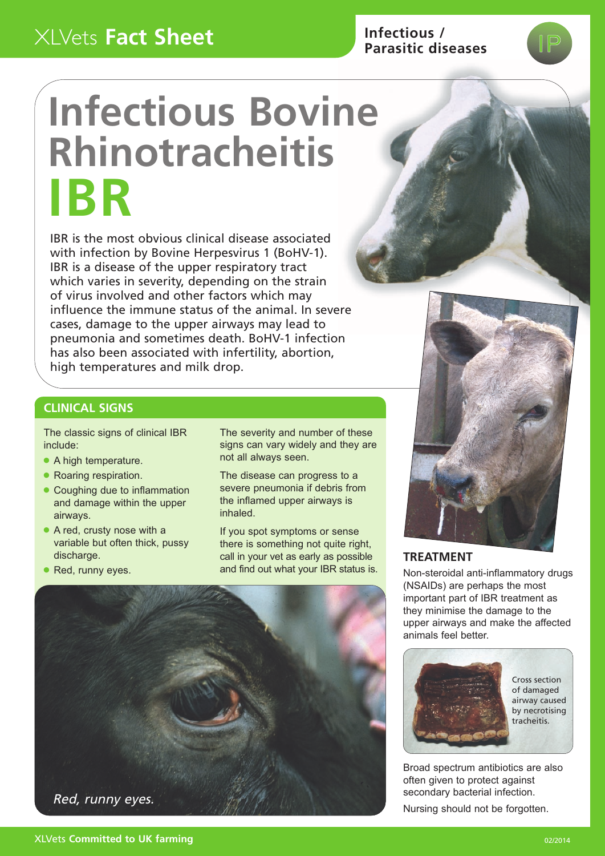# XLVets **Fact Sheet**

# **Infectious / Parasitic diseases**

# **Infectious Bovine Rhinotracheitis IBR**

IBR is the most obvious clinical disease associated with infection by Bovine Herpesvirus 1 (BoHV-1). IBR is a disease of the upper respiratory tract which varies in severity, depending on the strain of virus involved and other factors which may influence the immune status of the animal. In severe cases, damage to the upper airways may lead to pneumonia and sometimes death. BoHV-1 infection has also been associated with infertility, abortion, high temperatures and milk drop.

> The severity and number of these signs can vary widely and they are

The disease can progress to a severe pneumonia if debris from the inflamed upper airways is

If you spot symptoms or sense there is something not quite right, call in your vet as early as possible and find out what your IBR status is.

not all always seen.

inhaled.



#### **TREATMENT**

Non-steroidal anti-inflammatory drugs (NSAIDs) are perhaps the most important part of IBR treatment as they minimise the damage to the upper airways and make the affected animals feel better



Broad spectrum antibiotics are also often given to protect against secondary bacterial infection.

Nursing should not be forgotten.

## **CLINICAL SIGNS**

The classic signs of clinical IBR include:

- A high temperature.
- Roaring respiration.
- Coughing due to inflammation and damage within the upper airways.
- A red, crusty nose with a variable but often thick, pussy discharge.
- Red, runny eyes.